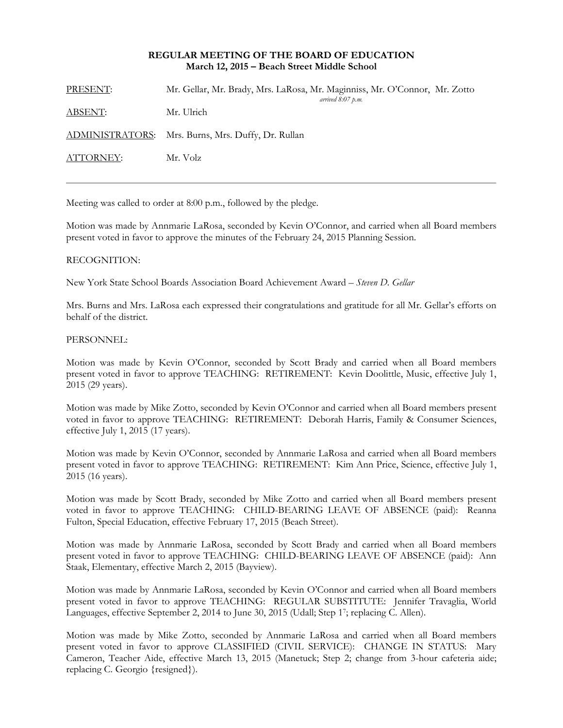## **REGULAR MEETING OF THE BOARD OF EDUCATION March 12, 2015 – Beach Street Middle School**

| PRESENT:       | Mr. Gellar, Mr. Brady, Mrs. LaRosa, Mr. Maginniss, Mr. O'Connor, Mr. Zotto<br>arrived $8.07$ p.m. |
|----------------|---------------------------------------------------------------------------------------------------|
| <u>ABSENT:</u> | Mr. Ulrich                                                                                        |
|                | ADMINISTRATORS: Mrs. Burns, Mrs. Duffy, Dr. Rullan                                                |
| ATTORNEY:      | Mr. Volz                                                                                          |

Meeting was called to order at 8:00 p.m., followed by the pledge.

Motion was made by Annmarie LaRosa, seconded by Kevin O'Connor, and carried when all Board members present voted in favor to approve the minutes of the February 24, 2015 Planning Session.

## RECOGNITION:

New York State School Boards Association Board Achievement Award – *Steven D. Gellar* 

Mrs. Burns and Mrs. LaRosa each expressed their congratulations and gratitude for all Mr. Gellar's efforts on behalf of the district.

#### PERSONNEL:

Motion was made by Kevin O'Connor, seconded by Scott Brady and carried when all Board members present voted in favor to approve TEACHING: RETIREMENT: Kevin Doolittle, Music, effective July 1, 2015 (29 years).

Motion was made by Mike Zotto, seconded by Kevin O'Connor and carried when all Board members present voted in favor to approve TEACHING: RETIREMENT: Deborah Harris, Family & Consumer Sciences, effective July 1, 2015 (17 years).

Motion was made by Kevin O'Connor, seconded by Annmarie LaRosa and carried when all Board members present voted in favor to approve TEACHING: RETIREMENT: Kim Ann Price, Science, effective July 1, 2015 (16 years).

Motion was made by Scott Brady, seconded by Mike Zotto and carried when all Board members present voted in favor to approve TEACHING: CHILD-BEARING LEAVE OF ABSENCE (paid): Reanna Fulton, Special Education, effective February 17, 2015 (Beach Street).

Motion was made by Annmarie LaRosa, seconded by Scott Brady and carried when all Board members present voted in favor to approve TEACHING: CHILD-BEARING LEAVE OF ABSENCE (paid): Ann Staak, Elementary, effective March 2, 2015 (Bayview).

Motion was made by Annmarie LaRosa, seconded by Kevin O'Connor and carried when all Board members present voted in favor to approve TEACHING: REGULAR SUBSTITUTE: Jennifer Travaglia, World Languages, effective September 2, 2014 to June 30, 2015 (Udall; Step 17; replacing C. Allen).

Motion was made by Mike Zotto, seconded by Annmarie LaRosa and carried when all Board members present voted in favor to approve CLASSIFIED (CIVIL SERVICE): CHANGE IN STATUS: Mary Cameron, Teacher Aide, effective March 13, 2015 (Manetuck; Step 2; change from 3-hour cafeteria aide; replacing C. Georgio {resigned}).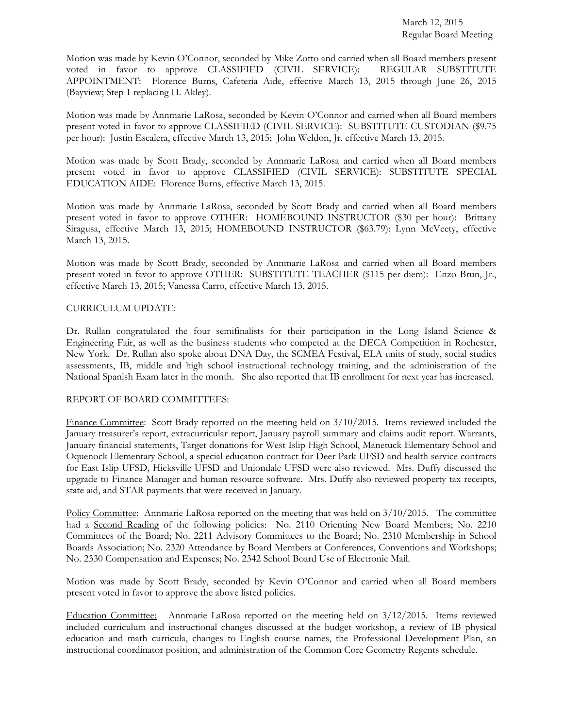Motion was made by Kevin O'Connor, seconded by Mike Zotto and carried when all Board members present voted in favor to approve CLASSIFIED (CIVIL SERVICE): REGULAR SUBSTITUTE APPOINTMENT: Florence Burns, Cafeteria Aide, effective March 13, 2015 through June 26, 2015 (Bayview; Step 1 replacing H. Akley).

Motion was made by Annmarie LaRosa, seconded by Kevin O'Connor and carried when all Board members present voted in favor to approve CLASSIFIED (CIVIL SERVICE): SUBSTITUTE CUSTODIAN (\$9.75 per hour): Justin Escalera, effective March 13, 2015; John Weldon, Jr. effective March 13, 2015.

Motion was made by Scott Brady, seconded by Annmarie LaRosa and carried when all Board members present voted in favor to approve CLASSIFIED (CIVIL SERVICE): SUBSTITUTE SPECIAL EDUCATION AIDE: Florence Burns, effective March 13, 2015.

Motion was made by Annmarie LaRosa, seconded by Scott Brady and carried when all Board members present voted in favor to approve OTHER: HOMEBOUND INSTRUCTOR (\$30 per hour): Brittany Siragusa, effective March 13, 2015; HOMEBOUND INSTRUCTOR (\$63.79): Lynn McVeety, effective March 13, 2015.

Motion was made by Scott Brady, seconded by Annmarie LaRosa and carried when all Board members present voted in favor to approve OTHER: SUBSTITUTE TEACHER (\$115 per diem): Enzo Brun, Jr., effective March 13, 2015; Vanessa Carro, effective March 13, 2015.

# CURRICULUM UPDATE:

Dr. Rullan congratulated the four semifinalists for their participation in the Long Island Science & Engineering Fair, as well as the business students who competed at the DECA Competition in Rochester, New York. Dr. Rullan also spoke about DNA Day, the SCMEA Festival, ELA units of study, social studies assessments, IB, middle and high school instructional technology training, and the administration of the National Spanish Exam later in the month. She also reported that IB enrollment for next year has increased.

### REPORT OF BOARD COMMITTEES:

Finance Committee: Scott Brady reported on the meeting held on 3/10/2015. Items reviewed included the January treasurer's report, extracurricular report, January payroll summary and claims audit report. Warrants, January financial statements, Target donations for West Islip High School, Manetuck Elementary School and Oquenock Elementary School, a special education contract for Deer Park UFSD and health service contracts for East Islip UFSD, Hicksville UFSD and Uniondale UFSD were also reviewed. Mrs. Duffy discussed the upgrade to Finance Manager and human resource software. Mrs. Duffy also reviewed property tax receipts, state aid, and STAR payments that were received in January.

Policy Committee: Annmarie LaRosa reported on the meeting that was held on  $3/10/2015$ . The committee had a Second Reading of the following policies: No. 2110 Orienting New Board Members; No. 2210 Committees of the Board; No. 2211 Advisory Committees to the Board; No. 2310 Membership in School Boards Association; No. 2320 Attendance by Board Members at Conferences, Conventions and Workshops; No. 2330 Compensation and Expenses; No. 2342 School Board Use of Electronic Mail.

Motion was made by Scott Brady, seconded by Kevin O'Connor and carried when all Board members present voted in favor to approve the above listed policies.

Education Committee: Annmarie LaRosa reported on the meeting held on 3/12/2015. Items reviewed included curriculum and instructional changes discussed at the budget workshop, a review of IB physical education and math curricula, changes to English course names, the Professional Development Plan, an instructional coordinator position, and administration of the Common Core Geometry Regents schedule.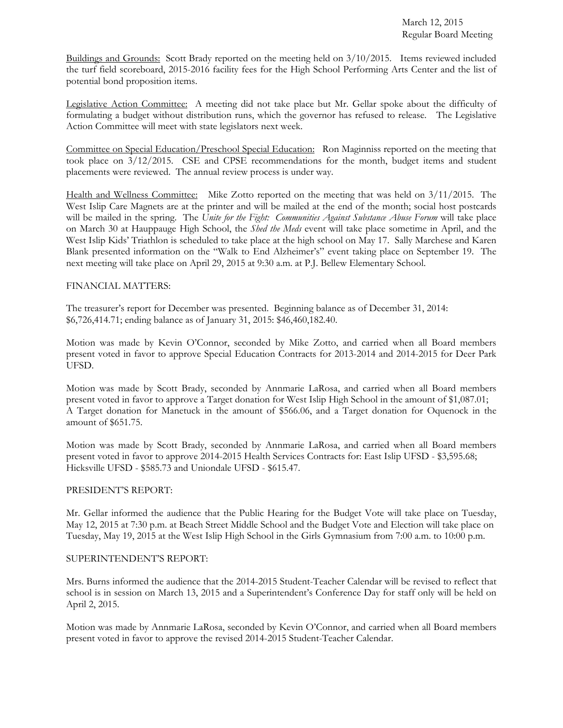Buildings and Grounds: Scott Brady reported on the meeting held on 3/10/2015. Items reviewed included the turf field scoreboard, 2015-2016 facility fees for the High School Performing Arts Center and the list of potential bond proposition items.

Legislative Action Committee: A meeting did not take place but Mr. Gellar spoke about the difficulty of formulating a budget without distribution runs, which the governor has refused to release. The Legislative Action Committee will meet with state legislators next week.

Committee on Special Education/Preschool Special Education: Ron Maginniss reported on the meeting that took place on 3/12/2015. CSE and CPSE recommendations for the month, budget items and student placements were reviewed. The annual review process is under way.

Health and Wellness Committee: Mike Zotto reported on the meeting that was held on 3/11/2015. The West Islip Care Magnets are at the printer and will be mailed at the end of the month; social host postcards will be mailed in the spring. The *Unite for the Fight: Communities Against Substance Abuse Forum* will take place on March 30 at Hauppauge High School, the *Shed the Meds* event will take place sometime in April, and the West Islip Kids' Triathlon is scheduled to take place at the high school on May 17. Sally Marchese and Karen Blank presented information on the "Walk to End Alzheimer's" event taking place on September 19. The next meeting will take place on April 29, 2015 at 9:30 a.m. at P.J. Bellew Elementary School.

# FINANCIAL MATTERS:

The treasurer's report for December was presented. Beginning balance as of December 31, 2014: \$6,726,414.71; ending balance as of January 31, 2015: \$46,460,182.40.

Motion was made by Kevin O'Connor, seconded by Mike Zotto, and carried when all Board members present voted in favor to approve Special Education Contracts for 2013-2014 and 2014-2015 for Deer Park UFSD.

Motion was made by Scott Brady, seconded by Annmarie LaRosa, and carried when all Board members present voted in favor to approve a Target donation for West Islip High School in the amount of \$1,087.01; A Target donation for Manetuck in the amount of \$566.06, and a Target donation for Oquenock in the amount of \$651.75.

Motion was made by Scott Brady, seconded by Annmarie LaRosa, and carried when all Board members present voted in favor to approve 2014-2015 Health Services Contracts for: East Islip UFSD - \$3,595.68; Hicksville UFSD - \$585.73 and Uniondale UFSD - \$615.47.

#### PRESIDENT'S REPORT:

Mr. Gellar informed the audience that the Public Hearing for the Budget Vote will take place on Tuesday, May 12, 2015 at 7:30 p.m. at Beach Street Middle School and the Budget Vote and Election will take place on Tuesday, May 19, 2015 at the West Islip High School in the Girls Gymnasium from 7:00 a.m. to 10:00 p.m.

#### SUPERINTENDENT'S REPORT:

Mrs. Burns informed the audience that the 2014-2015 Student-Teacher Calendar will be revised to reflect that school is in session on March 13, 2015 and a Superintendent's Conference Day for staff only will be held on April 2, 2015.

Motion was made by Annmarie LaRosa, seconded by Kevin O'Connor, and carried when all Board members present voted in favor to approve the revised 2014-2015 Student-Teacher Calendar.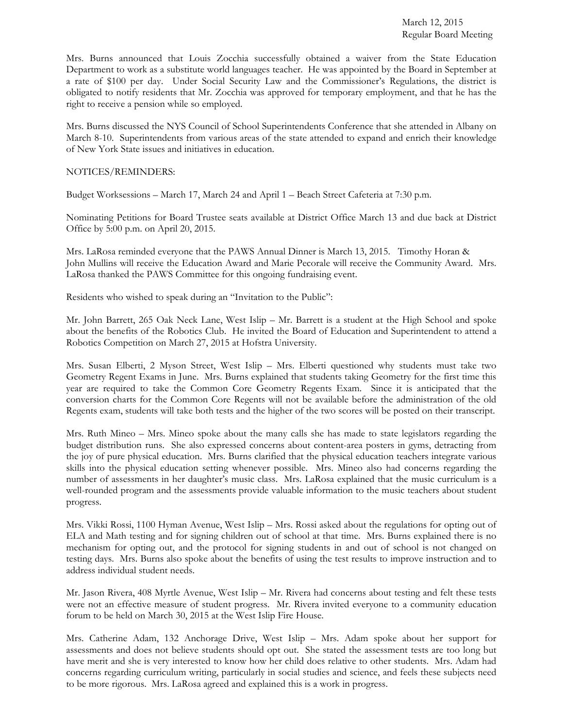Mrs. Burns announced that Louis Zocchia successfully obtained a waiver from the State Education Department to work as a substitute world languages teacher. He was appointed by the Board in September at a rate of \$100 per day. Under Social Security Law and the Commissioner's Regulations, the district is obligated to notify residents that Mr. Zocchia was approved for temporary employment, and that he has the right to receive a pension while so employed.

Mrs. Burns discussed the NYS Council of School Superintendents Conference that she attended in Albany on March 8-10. Superintendents from various areas of the state attended to expand and enrich their knowledge of New York State issues and initiatives in education.

## NOTICES/REMINDERS:

Budget Worksessions – March 17, March 24 and April 1 – Beach Street Cafeteria at 7:30 p.m.

Nominating Petitions for Board Trustee seats available at District Office March 13 and due back at District Office by 5:00 p.m. on April 20, 2015.

Mrs. LaRosa reminded everyone that the PAWS Annual Dinner is March 13, 2015. Timothy Horan & John Mullins will receive the Education Award and Marie Pecorale will receive the Community Award. Mrs. LaRosa thanked the PAWS Committee for this ongoing fundraising event.

Residents who wished to speak during an "Invitation to the Public":

Mr. John Barrett, 265 Oak Neck Lane, West Islip – Mr. Barrett is a student at the High School and spoke about the benefits of the Robotics Club. He invited the Board of Education and Superintendent to attend a Robotics Competition on March 27, 2015 at Hofstra University.

Mrs. Susan Elberti, 2 Myson Street, West Islip – Mrs. Elberti questioned why students must take two Geometry Regent Exams in June. Mrs. Burns explained that students taking Geometry for the first time this year are required to take the Common Core Geometry Regents Exam. Since it is anticipated that the conversion charts for the Common Core Regents will not be available before the administration of the old Regents exam, students will take both tests and the higher of the two scores will be posted on their transcript.

Mrs. Ruth Mineo – Mrs. Mineo spoke about the many calls she has made to state legislators regarding the budget distribution runs. She also expressed concerns about content-area posters in gyms, detracting from the joy of pure physical education. Mrs. Burns clarified that the physical education teachers integrate various skills into the physical education setting whenever possible. Mrs. Mineo also had concerns regarding the number of assessments in her daughter's music class. Mrs. LaRosa explained that the music curriculum is a well-rounded program and the assessments provide valuable information to the music teachers about student progress.

Mrs. Vikki Rossi, 1100 Hyman Avenue, West Islip – Mrs. Rossi asked about the regulations for opting out of ELA and Math testing and for signing children out of school at that time. Mrs. Burns explained there is no mechanism for opting out, and the protocol for signing students in and out of school is not changed on testing days. Mrs. Burns also spoke about the benefits of using the test results to improve instruction and to address individual student needs.

Mr. Jason Rivera, 408 Myrtle Avenue, West Islip – Mr. Rivera had concerns about testing and felt these tests were not an effective measure of student progress. Mr. Rivera invited everyone to a community education forum to be held on March 30, 2015 at the West Islip Fire House.

Mrs. Catherine Adam, 132 Anchorage Drive, West Islip – Mrs. Adam spoke about her support for assessments and does not believe students should opt out. She stated the assessment tests are too long but have merit and she is very interested to know how her child does relative to other students. Mrs. Adam had concerns regarding curriculum writing, particularly in social studies and science, and feels these subjects need to be more rigorous. Mrs. LaRosa agreed and explained this is a work in progress.